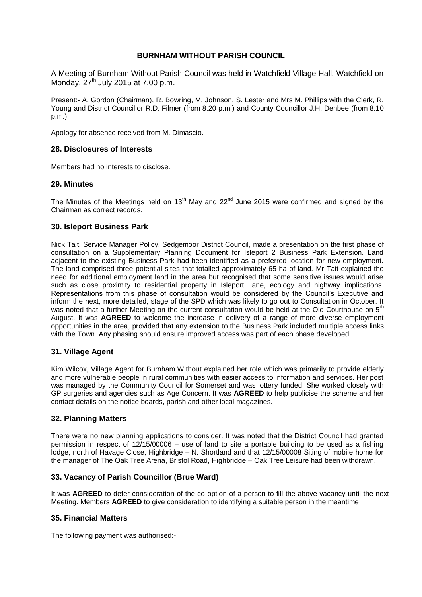# **BURNHAM WITHOUT PARISH COUNCIL**

A Meeting of Burnham Without Parish Council was held in Watchfield Village Hall, Watchfield on Monday,  $27<sup>th</sup>$  July 2015 at 7.00 p.m.

Present:- A. Gordon (Chairman), R. Bowring, M. Johnson, S. Lester and Mrs M. Phillips with the Clerk, R. Young and District Councillor R.D. Filmer (from 8.20 p.m.) and County Councillor J.H. Denbee (from 8.10 p.m.).

Apology for absence received from M. Dimascio.

# **28. Disclosures of Interests**

Members had no interests to disclose.

# **29. Minutes**

The Minutes of the Meetings held on 13<sup>th</sup> May and 22<sup>nd</sup> June 2015 were confirmed and signed by the Chairman as correct records.

# **30. Isleport Business Park**

Nick Tait, Service Manager Policy, Sedgemoor District Council, made a presentation on the first phase of consultation on a Supplementary Planning Document for Isleport 2 Business Park Extension. Land adjacent to the existing Business Park had been identified as a preferred location for new employment. The land comprised three potential sites that totalled approximately 65 ha of land. Mr Tait explained the need for additional employment land in the area but recognised that some sensitive issues would arise such as close proximity to residential property in Isleport Lane, ecology and highway implications. Representations from this phase of consultation would be considered by the Council's Executive and inform the next, more detailed, stage of the SPD which was likely to go out to Consultation in October. It was noted that a further Meeting on the current consultation would be held at the Old Courthouse on 5<sup>th</sup> August. It was **AGREED** to welcome the increase in delivery of a range of more diverse employment opportunities in the area, provided that any extension to the Business Park included multiple access links with the Town. Any phasing should ensure improved access was part of each phase developed.

# **31. Village Agent**

Kim Wilcox, Village Agent for Burnham Without explained her role which was primarily to provide elderly and more vulnerable people in rural communities with easier access to information and services. Her post was managed by the Community Council for Somerset and was lottery funded. She worked closely with GP surgeries and agencies such as Age Concern. It was **AGREED** to help publicise the scheme and her contact details on the notice boards, parish and other local magazines.

# **32. Planning Matters**

There were no new planning applications to consider. It was noted that the District Council had granted permission in respect of 12/15/00006 – use of land to site a portable building to be used as a fishing lodge, north of Havage Close, Highbridge – N. Shortland and that 12/15/00008 Siting of mobile home for the manager of The Oak Tree Arena, Bristol Road, Highbridge – Oak Tree Leisure had been withdrawn.

# **33. Vacancy of Parish Councillor (Brue Ward)**

It was **AGREED** to defer consideration of the co-option of a person to fill the above vacancy until the next Meeting. Members **AGREED** to give consideration to identifying a suitable person in the meantime

# **35. Financial Matters**

The following payment was authorised:-